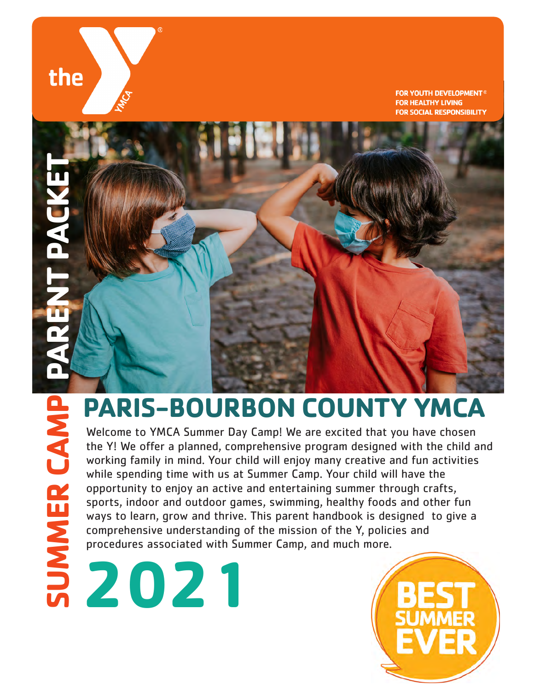# the

**FOR YOUTH DEVELOPMENT® FOR HEALTHY LIVING FOR SOCIAL RESPONSIBILITY** 

# **SUMMER CAMP PARENT PACKET**

# **PARIS-BOURBON COUNTY YMCA**

Welcome to YMCA Summer Day Camp! We are excited that you have chosen the Y! We offer a planned, comprehensive program designed with the child and working family in mind. Your child will enjoy many creative and fun activities while spending time with us at Summer Camp. Your child will have the opportunity to enjoy an active and entertaining summer through crafts, sports, indoor and outdoor games, swimming, healthy foods and other fun ways to learn, grow and thrive. This parent handbook is designed to give a comprehensive understanding of the mission of the Y, policies and procedures associated with Summer Camp, and much more. **20**<br> **20**<br> **20**<br> **20**<br> **20**<br> **20**<br> **20**<br> **20**<br> **20**<br> **20**<br> **20**<br> **20**<br> **20**<br> **20**<br> **20**<br> **20**<br> **20**<br> **20**<br> **20**<br> **20**<br> **20**<br> **20**<br> **20**<br> **20**<br> **20**<br> **20**<br> **20**<br> **20**<br> **20**<br> **20**<br> **20**<br> **20**<br> **20**<br> **20**<br> **20**<br> **20**<br> **20**<br>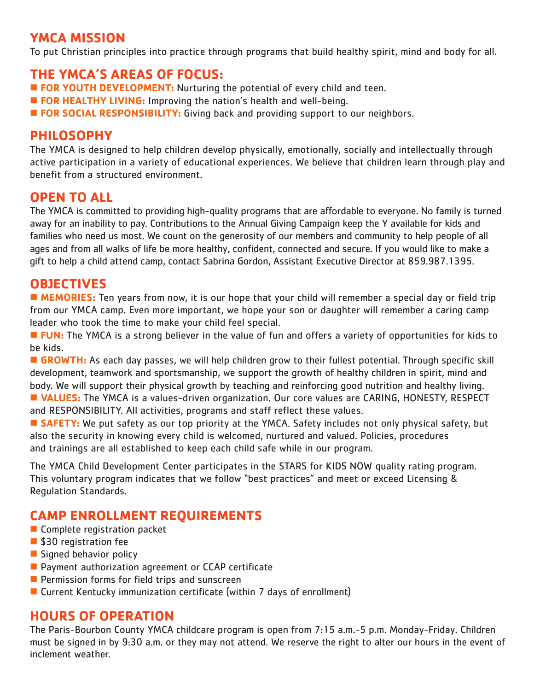## **YMCA MISSION**

To put Christian principles into practice through programs that build healthy spirit, mind and body for all.

## **THE YMCA'S AREAS OF FOCUS:**

- **FOR YOUTH DEVELOPMENT:** Nurturing the potential of every child and teen.
- **FOR HEALTHY LIVING:** Improving the nation's health and well-being.
- **FOR SOCIAL RESPONSIBILITY:** Giving back and providing support to our neighbors.

### **PHILOSOPHY**

The YMCA is designed to help children develop physically, emotionally, socially and intellectually through active participation in a variety of educational experiences. We believe that children learn through play and benefit from a structured environment.

## **OPEN TO ALL**

The YMCA is committed to providing high-quality programs that are affordable to everyone. No family is turned away for an inability to pay. Contributions to the Annual Giving Campaign keep the Y available for kids and families who need us most. We count on the generosity of our members and community to help people of all ages and from all walks of life be more healthy, confident, connected and secure. If you would like to make a gift to help a child attend camp, contact Sabrina Gordon, Assistant Executive Director at 859.987.1395.

### **OBJECTIVES**

**MEMORIES:** Ten years from now, it is our hope that your child will remember a special day or field trip from our YMCA camp. Even more important, we hope your son or daughter will remember a caring camp leader who took the time to make your child feel special.

■ FUN: The YMCA is a strong believer in the value of fun and offers a variety of opportunities for kids to be kids.

**GROWTH:** As each day passes, we will help children grow to their fullest potential. Through specific skill development, teamwork and sportsmanship, we support the growth of healthy children in spirit, mind and body. We will support their physical growth by teaching and reinforcing good nutrition and healthy living.

**N VALUES:** The YMCA is a values-driven organization. Our core values are CARING, HONESTY, RESPECT and RESPONSIBILITY. All activities, programs and staff reflect these values.

**SAFETY:** We put safety as our top priority at the YMCA. Safety includes not only physical safety, but also the security in knowing every child is welcomed, nurtured and valued. Policies, procedures and trainings are all established to keep each child safe while in our program.

The YMCA Child Development Center participates in the STARS for KIDS NOW quality rating program. This voluntary program indicates that we follow "best practices" and meet or exceed Licensing & Regulation Standards.

## **CAMP ENROLLMENT REQUIREMENTS**

- $\blacksquare$  Complete registration packet
- \$30 registration fee
- $\blacksquare$  Signed behavior policy
- $\blacksquare$  Payment authorization agreement or CCAP certificate
- $\blacksquare$  Permission forms for field trips and sunscreen
- **n** Current Kentucky immunization certificate (within 7 days of enrollment)

### **HOURS OF OPERATION**

The Paris-Bourbon County YMCA childcare program is open from 7:15 a.m.-5 p.m. Monday-Friday. Children must be signed in by 9:30 a.m. or they may not attend. We reserve the right to alter our hours in the event of inclement weather.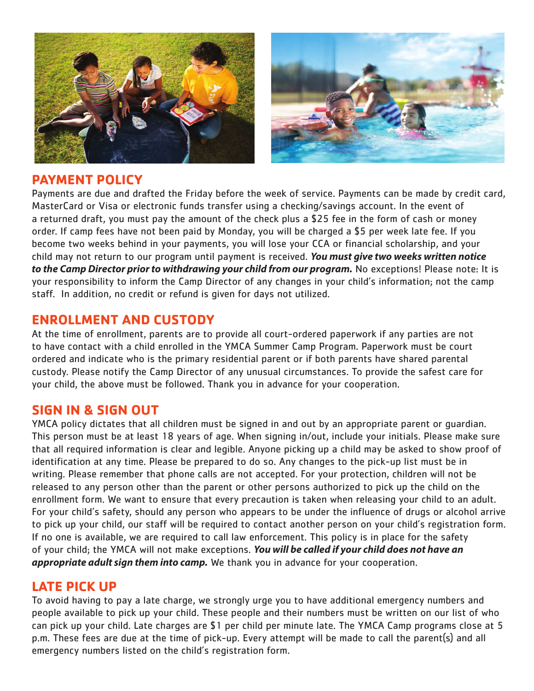

### **PAYMENT POLICY**

Payments are due and drafted the Friday before the week of service. Payments can be made by credit card, MasterCard or Visa or electronic funds transfer using a checking/savings account. In the event of a returned draft, you must pay the amount of the check plus a \$25 fee in the form of cash or money order. If camp fees have not been paid by Monday, you will be charged a \$5 per week late fee. If you become two weeks behind in your payments, you will lose your CCA or financial scholarship, and your child may not return to our program until payment is received. *You must give two weeks written notice to the Camp Director prior to withdrawing your child from our program.* No exceptions! Please note: It is your responsibility to inform the Camp Director of any changes in your child's information; not the camp staff. In addition, no credit or refund is given for days not utilized.

## **ENROLLMENT AND CUSTODY**

At the time of enrollment, parents are to provide all court-ordered paperwork if any parties are not to have contact with a child enrolled in the YMCA Summer Camp Program. Paperwork must be court ordered and indicate who is the primary residential parent or if both parents have shared parental custody. Please notify the Camp Director of any unusual circumstances. To provide the safest care for your child, the above must be followed. Thank you in advance for your cooperation.

### **SIGN IN & SIGN OUT**

YMCA policy dictates that all children must be signed in and out by an appropriate parent or guardian. This person must be at least 18 years of age. When signing in/out, include your initials. Please make sure that all required information is clear and legible. Anyone picking up a child may be asked to show proof of identification at any time. Please be prepared to do so. Any changes to the pick-up list must be in writing. Please remember that phone calls are not accepted. For your protection, children will not be released to any person other than the parent or other persons authorized to pick up the child on the enrollment form. We want to ensure that every precaution is taken when releasing your child to an adult. For your child's safety, should any person who appears to be under the influence of drugs or alcohol arrive to pick up your child, our staff will be required to contact another person on your child's registration form. If no one is available, we are required to call law enforcement. This policy is in place for the safety of your child; the YMCA will not make exceptions. *You will be called if your child does not have an appropriate adult sign them into camp.* We thank you in advance for your cooperation.

## **LATE PICK UP**

To avoid having to pay a late charge, we strongly urge you to have additional emergency numbers and people available to pick up your child. These people and their numbers must be written on our list of who can pick up your child. Late charges are \$1 per child per minute late. The YMCA Camp programs close at 5 p.m. These fees are due at the time of pick-up. Every attempt will be made to call the parent(s) and all emergency numbers listed on the child's registration form.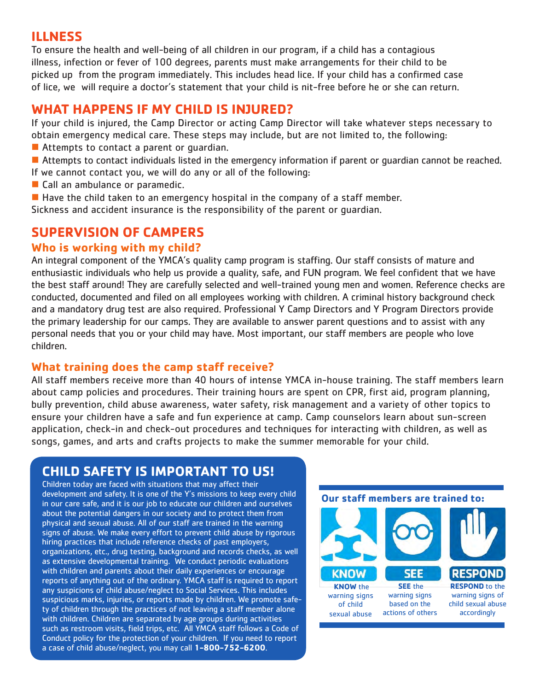## **ILLNESS**

To ensure the health and well-being of all children in our program, if a child has a contagious illness, infection or fever of 100 degrees, parents must make arrangements for their child to be picked up from the program immediately. This includes head lice. If your child has a confirmed case of lice, we will require a doctor's statement that your child is nit-free before he or she can return.

## **WHAT HAPPENS IF MY CHILD IS INJURED?**

If your child is injured, the Camp Director or acting Camp Director will take whatever steps necessary to obtain emergency medical care. These steps may include, but are not limited to, the following: 15 mjarea, the camp mettor or atting camp birector will take whatever steps nec

- $\blacksquare$  Attempts to contact a parent or guardian.
- Attempts to contact individuals listed in the emergency information if parent or guardian cannot be reached. If we cannot contact you, we will do any or all of the following:
- $\blacksquare$  Call an ambulance or paramedic.
- **n** Have the child taken to an emergency hospital in the company of a staff member.

Sickness and accident insurance is the responsibility of the parent or guardian. a accident modiatice is the responsionity or the parent or gadraidil.

### **SUPERVISION OF CAMPERS that is nit-free before a Doctor child has a confirmed case of lice will require a Doctors statement that your child is no set of lice will require a Doctors statement that you child is no set of** can return.

### **Who is working with my child?**

An integral component of the YMCA's quality camp program is staffing. Our staff consists of mature and enthusiastic individuals who help us provide a quality, safe, and FUN program. We feel confident that we have the best staff around! They are carefully selected and well-trained young men and women. Reference checks are conducted, documented and filed on all employees working with children. A criminal history background check and a mandatory drug test are also required. Professional Y Camp Directors and Y Program Directors provide the primary leadership for our camps. They are available to answer parent questions and to assist with any ens primary readersing for our camper rincy are aromasic to ansiet, parent questions and to assist marrier per<br>2) Have the child may have. Most important, our staff members are people who love children. mulviduals who help us provide a quality, safe, and folly program Sickness and the responsibility is the responsibility of the responsibility of the parameters of the parameter

### **What training does the camp staff receive?**

All staff members receive more than 40 hours of intense YMCA in-house training. The staff members learn about camp policies and procedures. Their training hours are spent on CPR, first aid, program planning, bully prevention, child abuse awareness, water safety, risk management and a variety of other topics to ensure your children have a safe and fun experience at camp. Camp counselors learn about sun-screen application, check-in and check-out procedures and techniques for interacting with children, as well as application, check-in and check-out procedures and techniques for interacting with children, as well as songs, games, and arts and crafts projects to make the summer memorable for your child. **Where** we check the child of the child

individuals who help us provide a quality, safe, and FUN program. We feel confident that we have the best staff around! They

### **CHILD SAFETY IS IMPORTANT TO US!** filed on all employees working with children. A criminal history background check and a mandatory drug test are also

Children today are faced with situations that may affect their **program Directors and Y** development and safety. It is one of the Y's missions to keep every child in our care safe, and it is our job to educate our children and ourselves  $\,$ about the potential dangers in our society and to protect them from physical and sexual abuse. All of our staff are trained in the warning signs of abuse. We make every effort to prevent child abuse by rigorous signs or abuse, we make every errort to prevent thild abuse by rigort<br>hiring practices that include reference checks of past employers, organizations, etc., drug testing, background and records checks, as well as extensive developmental training. We conduct periodic evaluations as extensive developmental training. We conduct periodic evaluation:<br>with children and parents about their daily experiences or encourage with children and parents about their daily experiences of encourage<br>reports of anything out of the ordinary. YMCA staff is required to report reports of any simily out of the ordinary. In the securities required to repe<br>any suspicions of child abuse/neglect to Social Services. This includes suspicious marks, injuries, or reports made by children. We promote safety of children through the practices of not leaving a staff member alone with children. Children are separated by age groups during activities such as restroom visits, field trips, etc. All YMCA staff follows a Code of Conduct policy for the protection of your children. If you need to report a case of child abuse/neglect, you may call **1-800-752-6200**. care safe and our job to educate our children and ourselves about the children and our children and ourselves a<br>Our children and our children and our children and ourselves about the children and our children and our child potential dangers in our society and to protect them from abuse.

policies and procedures of the YMCA Summer Day

### **Our staff members are trained to:**



All of our staff our trained in the warning signs of sexual abuse. They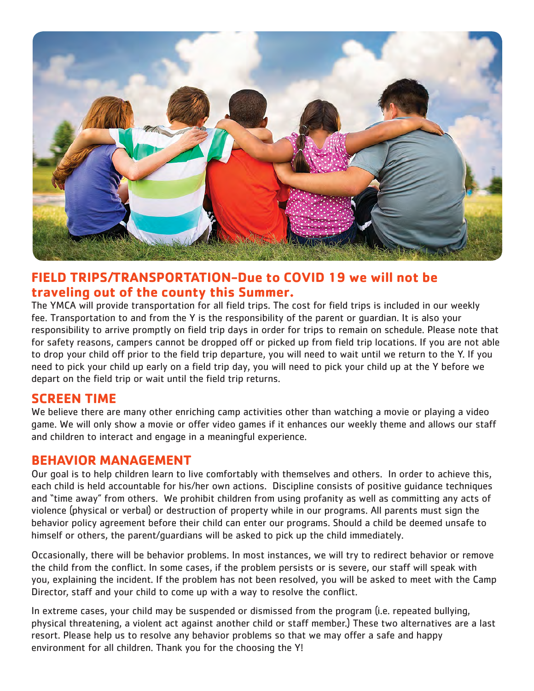

### **FIELD TRIPS/TRANSPORTATION-Due to COVID 19 we will not be traveling out of the county this Summer.**

The YMCA will provide transportation for all field trips. The cost for field trips is included in our weekly fee. Transportation to and from the Y is the responsibility of the parent or guardian. It is also your responsibility to arrive promptly on field trip days in order for trips to remain on schedule. Please note that for safety reasons, campers cannot be dropped off or picked up from field trip locations. If you are not able to drop your child off prior to the field trip departure, you will need to wait until we return to the Y. If you need to pick your child up early on a field trip day, you will need to pick your child up at the Y before we depart on the field trip or wait until the field trip returns.

### **SCREEN TIME**

We believe there are many other enriching camp activities other than watching a movie or playing a video game. We will only show a movie or offer video games if it enhances our weekly theme and allows our staff and children to interact and engage in a meaningful experience.

### **BEHAVIOR MANAGEMENT**

Our goal is to help children learn to live comfortably with themselves and others. In order to achieve this, each child is held accountable for his/her own actions. Discipline consists of positive guidance techniques and "time away" from others. We prohibit children from using profanity as well as committing any acts of violence (physical or verbal) or destruction of property while in our programs. All parents must sign the behavior policy agreement before their child can enter our programs. Should a child be deemed unsafe to himself or others, the parent/guardians will be asked to pick up the child immediately.

Occasionally, there will be behavior problems. In most instances, we will try to redirect behavior or remove the child from the conflict. In some cases, if the problem persists or is severe, our staff will speak with you, explaining the incident. If the problem has not been resolved, you will be asked to meet with the Camp Director, staff and your child to come up with a way to resolve the conflict.

In extreme cases, your child may be suspended or dismissed from the program (i.e. repeated bullying, physical threatening, a violent act against another child or staff member.) These two alternatives are a last resort. Please help us to resolve any behavior problems so that we may offer a safe and happy environment for all children. Thank you for the choosing the Y!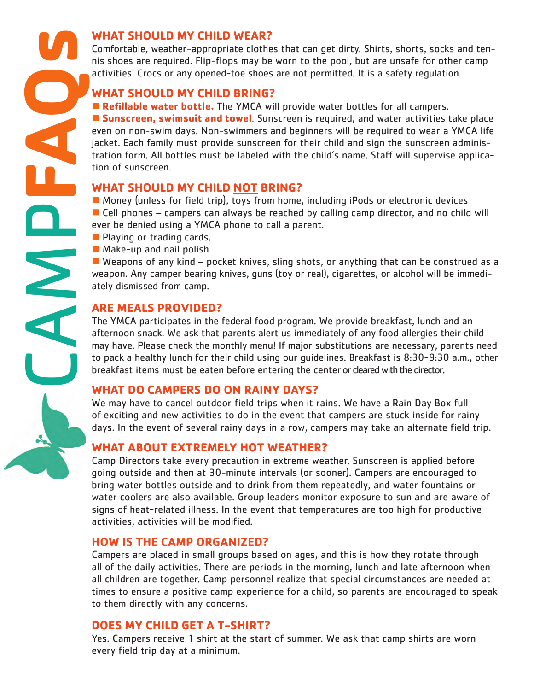### **WHAT SHOULD MY CHILD WEAR?**

Comfortable, weather-appropriate clothes that can get dirty. Shirts, shorts, socks and tennis shoes are required. Flip-flops may be worn to the pool, but are unsafe for other camp activities. Crocs or any opened-toe shoes are not permitted. It is a safety regulation.

### **WHAT SHOULD MY CHILD BRING?**

**n Refillable water bottle.** The YMCA will provide water bottles for all campers. **n** Sunscreen, swimsuit and towel. Sunscreen is required, and water activities take place even on non-swim days. Non-swimmers and beginners will be required to wear a YMCA life jacket. Each family must provide sunscreen for their child and sign the sunscreen administration form. All bottles must be labeled with the child's name. Staff will supervise application of sunscreen.

### **WHAT SHOULD MY CHILD NOT BRING?**

 $\blacksquare$  Money (unless for field trip), toys from home, including iPods or electronic devices  $\blacksquare$  Cell phones – campers can always be reached by calling camp director, and no child will ever be denied using a YMCA phone to call a parent.

- $\blacksquare$  Playing or trading cards.
- $\blacksquare$  Make-up and nail polish

 $\blacksquare$  Weapons of any kind – pocket knives, sling shots, or anything that can be construed as a weapon. Any camper bearing knives, guns (toy or real), cigarettes, or alcohol will be immediately dismissed from camp.

### **ARE MEALS PROVIDED?**

The YMCA participates in the federal food program. We provide breakfast, lunch and an afternoon snack. We ask that parents alert us immediately of any food allergies their child may have. Please check the monthly menu! If major substitutions are necessary, parents need to pack a healthy lunch for their child using our guidelines. Breakfast is 8:30-9:30 a.m., other breakfast items must be eaten before entering the center or cleared with the director.

### **WHAT DO CAMPERS DO ON RAINY DAYS?**

We may have to cancel outdoor field trips when it rains. We have a Rain Day Box full of exciting and new activities to do in the event that campers are stuck inside for rainy days. In the event of several rainy days in a row, campers may take an alternate field trip.

### **WHAT ABOUT EXTREMELY HOT WEATHER?**

Camp Directors take every precaution in extreme weather. Sunscreen is applied before going outside and then at 30-minute intervals (or sooner). Campers are encouraged to bring water bottles outside and to drink from them repeatedly, and water fountains or water coolers are also available. Group leaders monitor exposure to sun and are aware of signs of heat-related illness. In the event that temperatures are too high for productive activities, activities will be modified.

### **HOW IS THE CAMP ORGANIZED?**

Campers are placed in small groups based on ages, and this is how they rotate through all of the daily activities. There are periods in the morning, lunch and late afternoon when all children are together. Camp personnel realize that special circumstances are needed at times to ensure a positive camp experience for a child, so parents are encouraged to speak to them directly with any concerns.

### **DOES MY CHILD GET A T-SHIRT?**

Yes. Campers receive 1 shirt at the start of summer. We ask that camp shirts are worn every field trip day at a minimum.